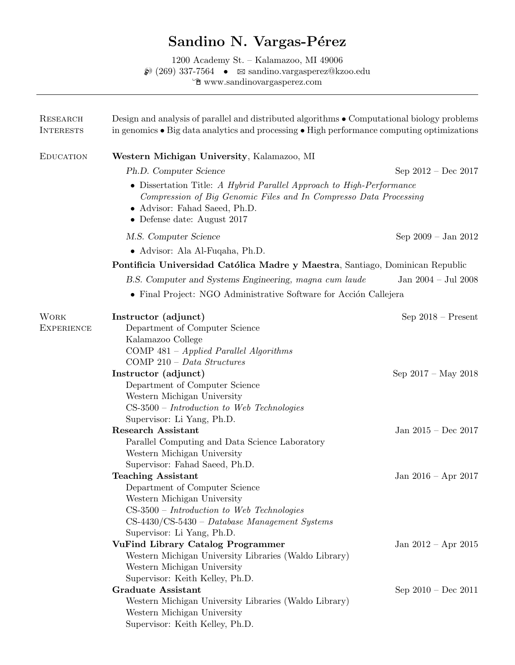# Sandino N. Vargas-Pérez

1200 Academy St. – Kalamazoo, MI 49006  $\bullet$  (269) 337-7564  $\bullet$   $\blacksquare$  sandino.vargasperez@kzoo.edu  $\check{\mathbb{C}}$ www.sandinovargasperez.com

| <b>RESEARCH</b><br><b>INTERESTS</b> | Design and analysis of parallel and distributed algorithms • Computational biology problems<br>in genomics $\bullet$ Big data analytics and processing $\bullet$ High performance computing optimizations<br>Western Michigan University, Kalamazoo, MI |                         |  |
|-------------------------------------|---------------------------------------------------------------------------------------------------------------------------------------------------------------------------------------------------------------------------------------------------------|-------------------------|--|
| <b>EDUCATION</b>                    |                                                                                                                                                                                                                                                         |                         |  |
|                                     | Ph.D. Computer Science                                                                                                                                                                                                                                  | Sep $2012 - Dec 2017$   |  |
|                                     | • Dissertation Title: A Hybrid Parallel Approach to High-Performance<br>Compression of Big Genomic Files and In Compresso Data Processing<br>• Advisor: Fahad Saeed, Ph.D.<br>$\bullet$ Defense date: August 2017                                       |                         |  |
|                                     | M.S. Computer Science                                                                                                                                                                                                                                   | Sep $2009 - Jan 2012$   |  |
|                                     | • Advisor: Ala Al-Fuqaha, Ph.D.                                                                                                                                                                                                                         |                         |  |
|                                     | Pontificia Universidad Católica Madre y Maestra, Santiago, Dominican Republic                                                                                                                                                                           |                         |  |
|                                     | B.S. Computer and Systems Engineering, magna cum laude                                                                                                                                                                                                  | Jan $2004 -$ Jul $2008$ |  |
|                                     | • Final Project: NGO Administrative Software for Acción Callejera                                                                                                                                                                                       |                         |  |
| <b>WORK</b>                         | Instructor (adjunct)                                                                                                                                                                                                                                    | $Sep 2018 - Present$    |  |
| <b>EXPERIENCE</b>                   | Department of Computer Science<br>Kalamazoo College<br>COMP $481 - Applied Parallel Algorithms$<br>$COMP 210 - Data Structures$                                                                                                                         |                         |  |
|                                     | Instructor (adjunct)                                                                                                                                                                                                                                    | Sep $2017 - May 2018$   |  |
|                                     | Department of Computer Science                                                                                                                                                                                                                          |                         |  |
|                                     | Western Michigan University<br>$CS-3500$ – Introduction to Web Technologies<br>Supervisor: Li Yang, Ph.D.                                                                                                                                               |                         |  |
|                                     | <b>Research Assistant</b>                                                                                                                                                                                                                               | Jan $2015 - Dec 2017$   |  |
|                                     | Parallel Computing and Data Science Laboratory<br>Western Michigan University<br>Supervisor: Fahad Saeed, Ph.D.                                                                                                                                         |                         |  |
|                                     | <b>Teaching Assistant</b>                                                                                                                                                                                                                               | Jan 2016 – Apr 2017     |  |
|                                     | Department of Computer Science<br>Western Michigan University<br>$CS-3500$ – Introduction to Web Technologies<br>$CS-4430/CS-5430 - Database$ Management Systems                                                                                        |                         |  |
|                                     | Supervisor: Li Yang, Ph.D.                                                                                                                                                                                                                              |                         |  |
|                                     | <b>VuFind Library Catalog Programmer</b>                                                                                                                                                                                                                | Jan $2012 - Apr$ 2015   |  |
|                                     | Western Michigan University Libraries (Waldo Library)<br>Western Michigan University                                                                                                                                                                    |                         |  |
|                                     | Supervisor: Keith Kelley, Ph.D.<br><b>Graduate Assistant</b>                                                                                                                                                                                            |                         |  |
|                                     | Western Michigan University Libraries (Waldo Library)<br>Western Michigan University<br>Supervisor: Keith Kelley, Ph.D.                                                                                                                                 | Sep $2010 - Dec 2011$   |  |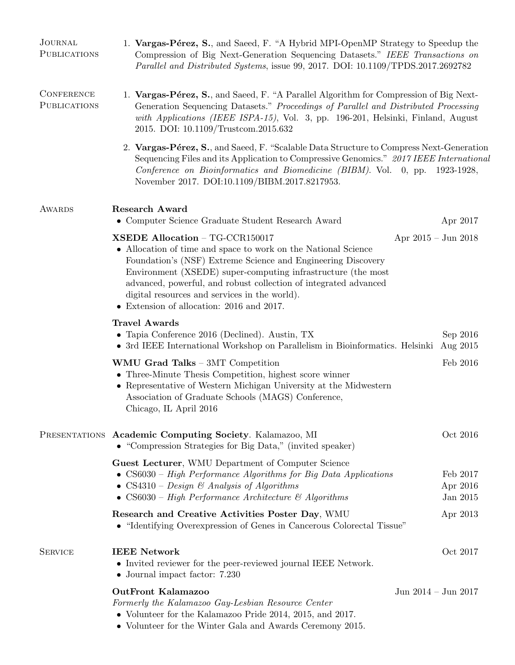| <b>JOURNAL</b><br><b>PUBLICATIONS</b>    | 1. Vargas-Pérez, S., and Saeed, F. "A Hybrid MPI-OpenMP Strategy to Speedup the<br>Compression of Big Next-Generation Sequencing Datasets." IEEE Transactions on<br>Parallel and Distributed Systems, issue 99, 2017. DOI: 10.1109/TPDS.2017.2692782                                                                                                                                                |                                  |  |  |
|------------------------------------------|-----------------------------------------------------------------------------------------------------------------------------------------------------------------------------------------------------------------------------------------------------------------------------------------------------------------------------------------------------------------------------------------------------|----------------------------------|--|--|
| <b>CONFERENCE</b><br><b>PUBLICATIONS</b> | 1. Vargas-Pérez, S., and Saeed, F. "A Parallel Algorithm for Compression of Big Next-<br>Generation Sequencing Datasets." Proceedings of Parallel and Distributed Processing<br>with Applications (IEEE ISPA-15), Vol. 3, pp. 196-201, Helsinki, Finland, August<br>2015. DOI: 10.1109/Trustcom.2015.632                                                                                            |                                  |  |  |
|                                          | 2. Vargas-Pérez, S., and Saeed, F. "Scalable Data Structure to Compress Next-Generation<br>Sequencing Files and its Application to Compressive Genomics." 2017 IEEE International<br>Conference on Bioinformatics and Biomedicine (BIBM). Vol. 0, pp. 1923-1928,<br>November 2017. DOI:10.1109/BIBM.2017.8217953.                                                                                   |                                  |  |  |
| <b>AWARDS</b>                            | <b>Research Award</b><br>$\bullet\,$ Computer Science Graduate Student Research Award                                                                                                                                                                                                                                                                                                               | Apr 2017                         |  |  |
|                                          | XSEDE Allocation - TG-CCR150017<br>• Allocation of time and space to work on the National Science<br>Foundation's (NSF) Extreme Science and Engineering Discovery<br>Environment (XSEDE) super-computing infrastructure (the most<br>advanced, powerful, and robust collection of integrated advanced<br>digital resources and services in the world).<br>• Extension of allocation: 2016 and 2017. | Apr $2015 - \text{Jun } 2018$    |  |  |
|                                          | <b>Travel Awards</b><br>• Tapia Conference 2016 (Declined). Austin, TX<br>• 3rd IEEE International Workshop on Parallelism in Bioinformatics. Helsinki                                                                                                                                                                                                                                              | Sep 2016<br>Aug 2015             |  |  |
|                                          | WMU Grad Talks - 3MT Competition<br>• Three-Minute Thesis Competition, highest score winner<br>• Representative of Western Michigan University at the Midwestern<br>Association of Graduate Schools (MAGS) Conference,<br>Chicago, IL April 2016                                                                                                                                                    | Feb 2016                         |  |  |
|                                          | PRESENTATIONS Academic Computing Society. Kalamazoo, MI<br>• "Compression Strategies for Big Data," (invited speaker)                                                                                                                                                                                                                                                                               | Oct 2016                         |  |  |
|                                          | Guest Lecturer, WMU Department of Computer Science<br>• $CS6030$ – High Performance Algorithms for Big Data Applications<br>• CS4310 – Design & Analysis of Algorithms<br>• $CS6030$ – High Performance Architecture & Algorithms                                                                                                                                                                   | Feb 2017<br>Apr 2016<br>Jan 2015 |  |  |
|                                          | Research and Creative Activities Poster Day, WMU<br>• "Identifying Overexpression of Genes in Cancerous Colorectal Tissue"                                                                                                                                                                                                                                                                          | Apr 2013                         |  |  |
| <b>SERVICE</b>                           | <b>IEEE Network</b><br>• Invited reviewer for the peer-reviewed journal IEEE Network.<br>$\bullet$ Journal impact factor: 7.230                                                                                                                                                                                                                                                                     | Oct 2017                         |  |  |
|                                          | <b>OutFront Kalamazoo</b><br>Formerly the Kalamazoo Gay-Lesbian Resource Center<br>• Volunteer for the Kalamazoo Pride 2014, 2015, and 2017.<br>• Volunteer for the Winter Gala and Awards Ceremony 2015.                                                                                                                                                                                           | Jun $2014 -$ Jun $2017$          |  |  |